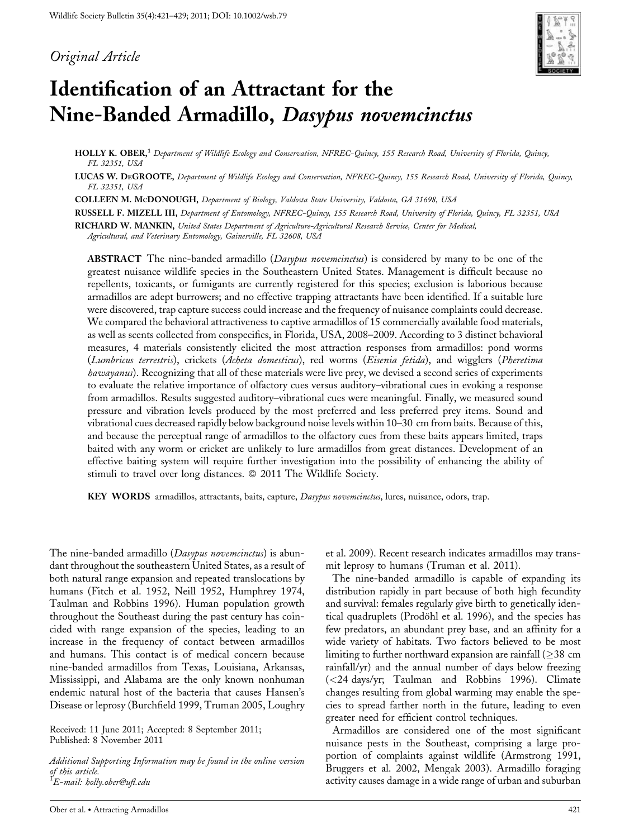# Original Article



# Identification of an Attractant for the Nine-Banded Armadillo, Dasypus novemcinctus

HOLLY K. OBER,<sup>1</sup> Department of Wildlife Ecology and Conservation, NFREC-Quincy, 155 Research Road, University of Florida, Quincy, FL 32351, USA

LUCAS W. DEGROOTE, Department of Wildlife Ecology and Conservation, NFREC-Quincy, 155 Research Road, University of Florida, Quincy, FL 32351, USA

COLLEEN M. MCDONOUGH, Department of Biology, Valdosta State University, Valdosta, GA 31698, USA

RUSSELL F. MIZELL III, Department of Entomology, NFREC-Quincy, 155 Research Road, University of Florida, Quincy, FL 32351, USA

RICHARD W. MANKIN, United States Department of Agriculture-Agricultural Research Service, Center for Medical,

Agricultural, and Veterinary Entomology, Gainesville, FL 32608, USA

ABSTRACT The nine-banded armadillo (Dasypus novemeinetus) is considered by many to be one of the greatest nuisance wildlife species in the Southeastern United States. Management is difficult because no repellents, toxicants, or fumigants are currently registered for this species; exclusion is laborious because armadillos are adept burrowers; and no effective trapping attractants have been identified. If a suitable lure were discovered, trap capture success could increase and the frequency of nuisance complaints could decrease. We compared the behavioral attractiveness to captive armadillos of 15 commercially available food materials, as well as scents collected from conspecifics, in Florida, USA, 2008–2009. According to 3 distinct behavioral measures, 4 materials consistently elicited the most attraction responses from armadillos: pond worms (Lumbricus terrestris), crickets (Acheta domesticus), red worms (Eisenia fetida), and wigglers (Pheretima hawayanus). Recognizing that all of these materials were live prey, we devised a second series of experiments to evaluate the relative importance of olfactory cues versus auditory–vibrational cues in evoking a response from armadillos. Results suggested auditory–vibrational cues were meaningful. Finally, we measured sound pressure and vibration levels produced by the most preferred and less preferred prey items. Sound and vibrational cues decreased rapidly below background noise levels within 10–30 cm from baits. Because of this, and because the perceptual range of armadillos to the olfactory cues from these baits appears limited, traps baited with any worm or cricket are unlikely to lure armadillos from great distances. Development of an effective baiting system will require further investigation into the possibility of enhancing the ability of stimuli to travel over long distances.  $©$  2011 The Wildlife Society.

KEY WORDS armadillos, attractants, baits, capture, Dasypus novemcinctus, lures, nuisance, odors, trap.

The nine-banded armadillo (Dasypus novemcinctus) is abundant throughout the southeastern United States, as a result of both natural range expansion and repeated translocations by humans (Fitch et al. 1952, Neill 1952, Humphrey 1974, Taulman and Robbins 1996). Human population growth throughout the Southeast during the past century has coincided with range expansion of the species, leading to an increase in the frequency of contact between armadillos and humans. This contact is of medical concern because nine-banded armadillos from Texas, Louisiana, Arkansas, Mississippi, and Alabama are the only known nonhuman endemic natural host of the bacteria that causes Hansen's Disease or leprosy (Burchfield 1999, Truman 2005, Loughry

Received: 11 June 2011; Accepted: 8 September 2011; Published: 8 November 2011

Additional Supporting Information may be found in the online version of this article.<br><sup>1</sup>E-mail: holly.ober@ufl.edu

et al. 2009). Recent research indicates armadillos may transmit leprosy to humans (Truman et al. 2011).

The nine-banded armadillo is capable of expanding its distribution rapidly in part because of both high fecundity and survival: females regularly give birth to genetically identical quadruplets (Prodöhl et al. 1996), and the species has few predators, an abundant prey base, and an affinity for a wide variety of habitats. Two factors believed to be most limiting to further northward expansion are rainfall  $(\geq 38 \text{ cm})$ rainfall/yr) and the annual number of days below freezing (<24 days/yr; Taulman and Robbins 1996). Climate changes resulting from global warming may enable the species to spread farther north in the future, leading to even greater need for efficient control techniques.

Armadillos are considered one of the most significant nuisance pests in the Southeast, comprising a large proportion of complaints against wildlife (Armstrong 1991, Bruggers et al. 2002, Mengak 2003). Armadillo foraging activity causes damage in a wide range of urban and suburban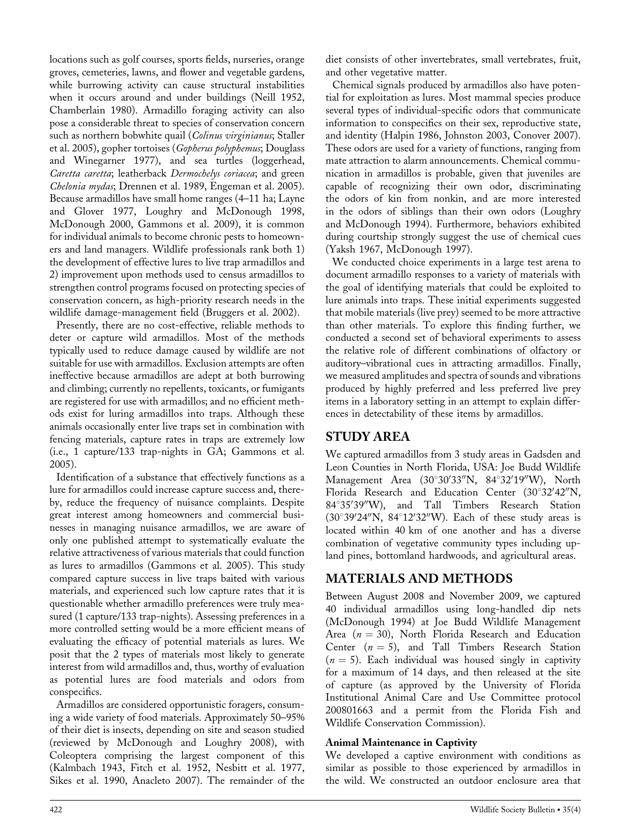locations such as golf courses, sports fields, nurseries, orange groves, cemeteries, lawns, and flower and vegetable gardens, while burrowing activity can cause structural instabilities when it occurs around and under buildings (Neill 1952, Chamberlain 1980). Armadillo foraging activity can also pose a considerable threat to species of conservation concern such as northern bobwhite quail (Colinus virginianus; Staller et al. 2005), gopher tortoises (Gopherus polyphemus; Douglass and Winegarner 1977), and sea turtles (loggerhead, Caretta caretta; leatherback Dermochelys coriacea; and green Chelonia mydas; Drennen et al. 1989, Engeman et al. 2005). Because armadillos have small home ranges (4–11 ha; Layne and Glover 1977, Loughry and McDonough 1998, McDonough 2000, Gammons et al. 2009), it is common for individual animals to become chronic pests to homeowners and land managers. Wildlife professionals rank both 1) the development of effective lures to live trap armadillos and 2) improvement upon methods used to census armadillos to strengthen control programs focused on protecting species of conservation concern, as high-priority research needs in the wildlife damage-management field (Bruggers et al. 2002).

Presently, there are no cost-effective, reliable methods to deter or capture wild armadillos. Most of the methods typically used to reduce damage caused by wildlife are not suitable for use with armadillos. Exclusion attempts are often ineffective because armadillos are adept at both burrowing and climbing; currently no repellents, toxicants, or fumigants are registered for use with armadillos; and no efficient methods exist for luring armadillos into traps. Although these animals occasionally enter live traps set in combination with fencing materials, capture rates in traps are extremely low (i.e., 1 capture/133 trap-nights in GA; Gammons et al. 2005).

Identification of a substance that effectively functions as a lure for armadillos could increase capture success and, thereby, reduce the frequency of nuisance complaints. Despite great interest among homeowners and commercial businesses in managing nuisance armadillos, we are aware of only one published attempt to systematically evaluate the relative attractiveness of various materials that could function as lures to armadillos (Gammons et al. 2005). This study compared capture success in live traps baited with various materials, and experienced such low capture rates that it is questionable whether armadillo preferences were truly measured (1 capture/133 trap-nights). Assessing preferences in a more controlled setting would be a more efficient means of evaluating the efficacy of potential materials as lures. We posit that the 2 types of materials most likely to generate interest from wild armadillos and, thus, worthy of evaluation as potential lures are food materials and odors from conspecifics.

Armadillos are considered opportunistic foragers, consuming a wide variety of food materials. Approximately 50–95% of their diet is insects, depending on site and season studied (reviewed by McDonough and Loughry 2008), with Coleoptera comprising the largest component of this (Kalmbach 1943, Fitch et al. 1952, Nesbitt et al. 1977, Sikes et al. 1990, Anacleto 2007). The remainder of the

diet consists of other invertebrates, small vertebrates, fruit, and other vegetative matter.

Chemical signals produced by armadillos also have potential for exploitation as lures. Most mammal species produce several types of individual-specific odors that communicate information to conspecifics on their sex, reproductive state, and identity (Halpin 1986, Johnston 2003, Conover 2007). These odors are used for a variety of functions, ranging from mate attraction to alarm announcements. Chemical communication in armadillos is probable, given that juveniles are capable of recognizing their own odor, discriminating the odors of kin from nonkin, and are more interested in the odors of siblings than their own odors (Loughry and McDonough 1994). Furthermore, behaviors exhibited during courtship strongly suggest the use of chemical cues (Yaksh 1967, McDonough 1997).

We conducted choice experiments in a large test arena to document armadillo responses to a variety of materials with the goal of identifying materials that could be exploited to lure animals into traps. These initial experiments suggested that mobile materials (live prey) seemed to be more attractive than other materials. To explore this finding further, we conducted a second set of behavioral experiments to assess the relative role of different combinations of olfactory or auditory–vibrational cues in attracting armadillos. Finally, we measured amplitudes and spectra of sounds and vibrations produced by highly preferred and less preferred live prey items in a laboratory setting in an attempt to explain differences in detectability of these items by armadillos.

# STUDY AREA

We captured armadillos from 3 study areas in Gadsden and Leon Counties in North Florida, USA: Joe Budd Wildlife Management Area (30°30'33"N, 84°32'19"W), North Florida Research and Education Center (30°32'42"N, 84°35'39"W), and Tall Timbers Research Station  $(30^\circ39^\prime24^{\prime\prime}{\rm N},\ 84^\circ12^\prime32^{\prime\prime}{\rm W})$ . Each of these study areas is located within 40 km of one another and has a diverse combination of vegetative community types including upland pines, bottomland hardwoods, and agricultural areas.

# MATERIALS AND METHODS

Between August 2008 and November 2009, we captured 40 individual armadillos using long-handled dip nets (McDonough 1994) at Joe Budd Wildlife Management Area ( $n = 30$ ), North Florida Research and Education Center  $(n = 5)$ , and Tall Timbers Research Station  $(n = 5)$ . Each individual was housed singly in captivity for a maximum of 14 days, and then released at the site of capture (as approved by the University of Florida Institutional Animal Care and Use Committee protocol 200801663 and a permit from the Florida Fish and Wildlife Conservation Commission).

## Animal Maintenance in Captivity

We developed a captive environment with conditions as similar as possible to those experienced by armadillos in the wild. We constructed an outdoor enclosure area that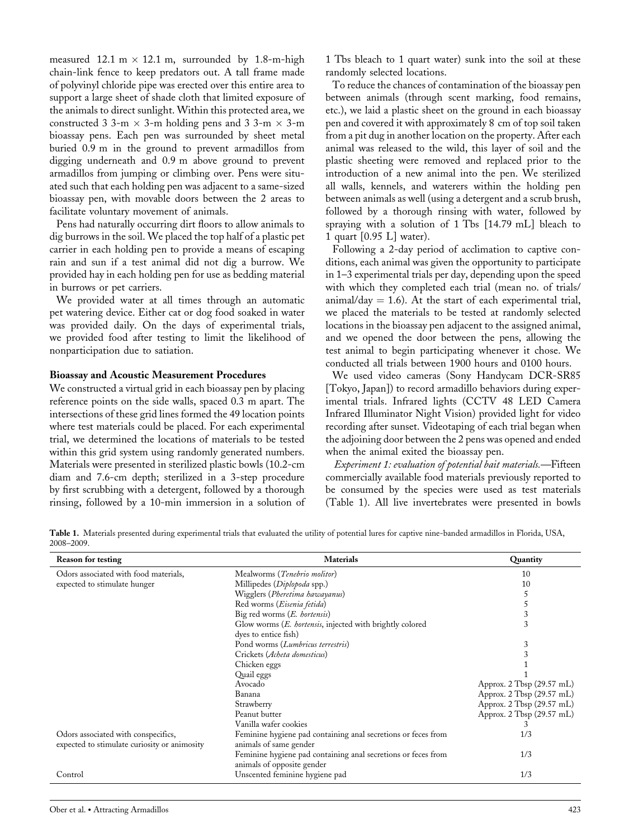measured 12.1 m  $\times$  12.1 m, surrounded by 1.8-m-high chain-link fence to keep predators out. A tall frame made of polyvinyl chloride pipe was erected over this entire area to support a large sheet of shade cloth that limited exposure of the animals to direct sunlight. Within this protected area, we constructed 3 3-m  $\times$  3-m holding pens and 3 3-m  $\times$  3-m bioassay pens. Each pen was surrounded by sheet metal buried 0.9 m in the ground to prevent armadillos from digging underneath and 0.9 m above ground to prevent armadillos from jumping or climbing over. Pens were situated such that each holding pen was adjacent to a same-sized bioassay pen, with movable doors between the 2 areas to facilitate voluntary movement of animals.

Pens had naturally occurring dirt floors to allow animals to dig burrows in the soil. We placed the top half of a plastic pet carrier in each holding pen to provide a means of escaping rain and sun if a test animal did not dig a burrow. We provided hay in each holding pen for use as bedding material in burrows or pet carriers.

We provided water at all times through an automatic pet watering device. Either cat or dog food soaked in water was provided daily. On the days of experimental trials, we provided food after testing to limit the likelihood of nonparticipation due to satiation.

#### Bioassay and Acoustic Measurement Procedures

We constructed a virtual grid in each bioassay pen by placing reference points on the side walls, spaced 0.3 m apart. The intersections of these grid lines formed the 49 location points where test materials could be placed. For each experimental trial, we determined the locations of materials to be tested within this grid system using randomly generated numbers. Materials were presented in sterilized plastic bowls (10.2-cm diam and 7.6-cm depth; sterilized in a 3-step procedure by first scrubbing with a detergent, followed by a thorough rinsing, followed by a 10-min immersion in a solution of

1 Tbs bleach to 1 quart water) sunk into the soil at these randomly selected locations.

To reduce the chances of contamination of the bioassay pen between animals (through scent marking, food remains, etc.), we laid a plastic sheet on the ground in each bioassay pen and covered it with approximately 8 cm of top soil taken from a pit dug in another location on the property. After each animal was released to the wild, this layer of soil and the plastic sheeting were removed and replaced prior to the introduction of a new animal into the pen. We sterilized all walls, kennels, and waterers within the holding pen between animals as well (using a detergent and a scrub brush, followed by a thorough rinsing with water, followed by spraying with a solution of 1 Tbs [14.79 mL] bleach to 1 quart [0.95 L] water).

Following a 2-day period of acclimation to captive conditions, each animal was given the opportunity to participate in 1–3 experimental trials per day, depending upon the speed with which they completed each trial (mean no. of trials/ animal/day  $= 1.6$ ). At the start of each experimental trial, we placed the materials to be tested at randomly selected locations in the bioassay pen adjacent to the assigned animal, and we opened the door between the pens, allowing the test animal to begin participating whenever it chose. We conducted all trials between 1900 hours and 0100 hours.

We used video cameras (Sony Handycam DCR-SR85 [Tokyo, Japan]) to record armadillo behaviors during experimental trials. Infrared lights (CCTV 48 LED Camera Infrared Illuminator Night Vision) provided light for video recording after sunset. Videotaping of each trial began when the adjoining door between the 2 pens was opened and ended when the animal exited the bioassay pen.

Experiment 1: evaluation of potential bait materials.—Fifteen commercially available food materials previously reported to be consumed by the species were used as test materials (Table 1). All live invertebrates were presented in bowls

Table 1. Materials presented during experimental trials that evaluated the utility of potential lures for captive nine-banded armadillos in Florida, USA, 2008–2009.

| <b>Reason for testing</b>                    | <b>Materials</b>                                              | Quantity                  |
|----------------------------------------------|---------------------------------------------------------------|---------------------------|
| Odors associated with food materials,        | Mealworms (Tenebrio molitor)                                  | 10                        |
| expected to stimulate hunger                 | Millipedes (Diplopoda spp.)                                   | 10                        |
|                                              | Wigglers (Pheretima hawayanus)                                |                           |
|                                              | Red worms (Eisenia fetida)                                    |                           |
|                                              | Big red worms (E. hortensis)                                  | 3                         |
|                                              | Glow worms (E. hortensis, injected with brightly colored      | 3                         |
|                                              | dyes to entice fish)                                          |                           |
|                                              | Pond worms (Lumbricus terrestris)                             | 3                         |
|                                              | Crickets (Acheta domesticus)                                  | 3                         |
|                                              | Chicken eggs                                                  |                           |
|                                              | Quail eggs                                                    |                           |
|                                              | Avocado                                                       | Approx. 2 Tbsp (29.57 mL) |
|                                              | Banana                                                        | Approx. 2 Tbsp (29.57 mL) |
|                                              | Strawberry                                                    | Approx. 2 Tbsp (29.57 mL) |
|                                              | Peanut butter                                                 | Approx. 2 Tbsp (29.57 mL) |
|                                              | Vanilla wafer cookies                                         | 3                         |
| Odors associated with conspecifics,          | Feminine hygiene pad containing anal secretions or feces from | 1/3                       |
| expected to stimulate curiosity or animosity | animals of same gender                                        |                           |
|                                              | Feminine hygiene pad containing anal secretions or feces from | 1/3                       |
|                                              | animals of opposite gender                                    |                           |
| Control                                      | Unscented feminine hygiene pad                                | 1/3                       |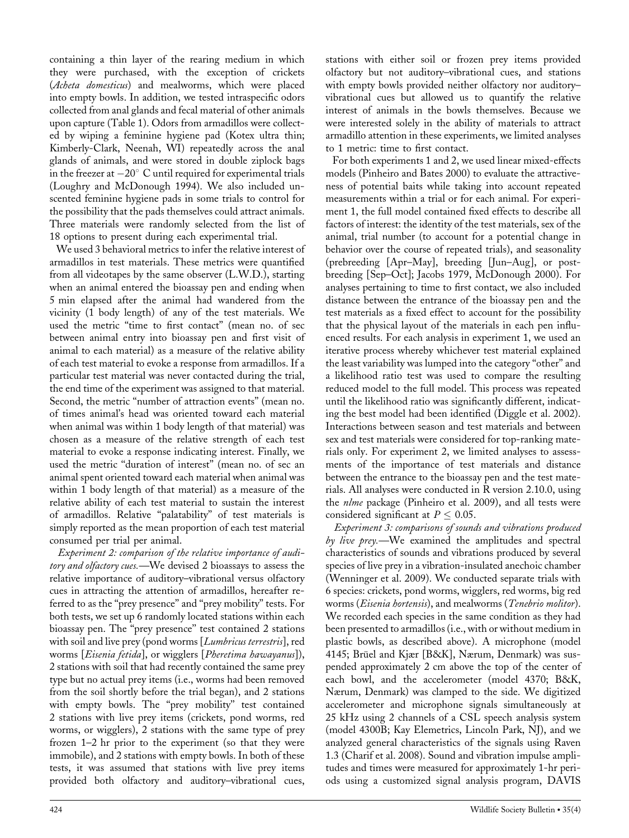containing a thin layer of the rearing medium in which they were purchased, with the exception of crickets (Acheta domesticus) and mealworms, which were placed into empty bowls. In addition, we tested intraspecific odors collected from anal glands and fecal material of other animals upon capture (Table 1). Odors from armadillos were collected by wiping a feminine hygiene pad (Kotex ultra thin; Kimberly-Clark, Neenah, WI) repeatedly across the anal glands of animals, and were stored in double ziplock bags in the freezer at  $-20^{\circ}$  C until required for experimental trials (Loughry and McDonough 1994). We also included unscented feminine hygiene pads in some trials to control for the possibility that the pads themselves could attract animals. Three materials were randomly selected from the list of 18 options to present during each experimental trial.

We used 3 behavioral metrics to infer the relative interest of armadillos in test materials. These metrics were quantified from all videotapes by the same observer (L.W.D.), starting when an animal entered the bioassay pen and ending when 5 min elapsed after the animal had wandered from the vicinity (1 body length) of any of the test materials. We used the metric "time to first contact" (mean no. of sec between animal entry into bioassay pen and first visit of animal to each material) as a measure of the relative ability of each test material to evoke a response from armadillos. If a particular test material was never contacted during the trial, the end time of the experiment was assigned to that material. Second, the metric "number of attraction events" (mean no. of times animal's head was oriented toward each material when animal was within 1 body length of that material) was chosen as a measure of the relative strength of each test material to evoke a response indicating interest. Finally, we used the metric "duration of interest" (mean no. of sec an animal spent oriented toward each material when animal was within 1 body length of that material) as a measure of the relative ability of each test material to sustain the interest of armadillos. Relative "palatability" of test materials is simply reported as the mean proportion of each test material consumed per trial per animal.

Experiment 2: comparison of the relative importance of auditory and olfactory cues.—We devised 2 bioassays to assess the relative importance of auditory–vibrational versus olfactory cues in attracting the attention of armadillos, hereafter referred to as the "prey presence" and "prey mobility" tests. For both tests, we set up 6 randomly located stations within each bioassay pen. The "prey presence" test contained 2 stations with soil and live prey (pond worms [*Lumbricus terrestris*], red worms [Eisenia fetida], or wigglers [Pheretima hawayanus]), 2 stations with soil that had recently contained the same prey type but no actual prey items (i.e., worms had been removed from the soil shortly before the trial began), and 2 stations with empty bowls. The "prey mobility" test contained 2 stations with live prey items (crickets, pond worms, red worms, or wigglers), 2 stations with the same type of prey frozen 1–2 hr prior to the experiment (so that they were immobile), and 2 stations with empty bowls. In both of these tests, it was assumed that stations with live prey items provided both olfactory and auditory–vibrational cues,

stations with either soil or frozen prey items provided olfactory but not auditory–vibrational cues, and stations with empty bowls provided neither olfactory nor auditory– vibrational cues but allowed us to quantify the relative interest of animals in the bowls themselves. Because we were interested solely in the ability of materials to attract armadillo attention in these experiments, we limited analyses to 1 metric: time to first contact.

For both experiments 1 and 2, we used linear mixed-effects models (Pinheiro and Bates 2000) to evaluate the attractiveness of potential baits while taking into account repeated measurements within a trial or for each animal. For experiment 1, the full model contained fixed effects to describe all factors of interest: the identity of the test materials, sex of the animal, trial number (to account for a potential change in behavior over the course of repeated trials), and seasonality (prebreeding [Apr–May], breeding [Jun–Aug], or postbreeding [Sep–Oct]; Jacobs 1979, McDonough 2000). For analyses pertaining to time to first contact, we also included distance between the entrance of the bioassay pen and the test materials as a fixed effect to account for the possibility that the physical layout of the materials in each pen influenced results. For each analysis in experiment 1, we used an iterative process whereby whichever test material explained the least variability was lumped into the category ''other'' and a likelihood ratio test was used to compare the resulting reduced model to the full model. This process was repeated until the likelihood ratio was significantly different, indicating the best model had been identified (Diggle et al. 2002). Interactions between season and test materials and between sex and test materials were considered for top-ranking materials only. For experiment 2, we limited analyses to assessments of the importance of test materials and distance between the entrance to the bioassay pen and the test materials. All analyses were conducted in R version 2.10.0, using the *nlme* package (Pinheiro et al. 2009), and all tests were considered significant at  $P \leq 0.05$ .

Experiment 3: comparisons of sounds and vibrations produced by live prey.—We examined the amplitudes and spectral characteristics of sounds and vibrations produced by several species of live prey in a vibration-insulated anechoic chamber (Wenninger et al. 2009). We conducted separate trials with 6 species: crickets, pond worms, wigglers, red worms, big red worms (Eisenia hortensis), and mealworms (Tenebrio molitor). We recorded each species in the same condition as they had been presented to armadillos (i.e., with or without medium in plastic bowls, as described above). A microphone (model 4145; Brüel and Kjær [B&K], Nærum, Denmark) was suspended approximately 2 cm above the top of the center of each bowl, and the accelerometer (model 4370; B&K, Nærum, Denmark) was clamped to the side. We digitized accelerometer and microphone signals simultaneously at 25 kHz using 2 channels of a CSL speech analysis system (model 4300B; Kay Elemetrics, Lincoln Park, NJ), and we analyzed general characteristics of the signals using Raven 1.3 (Charif et al. 2008). Sound and vibration impulse amplitudes and times were measured for approximately 1-hr periods using a customized signal analysis program, DAVIS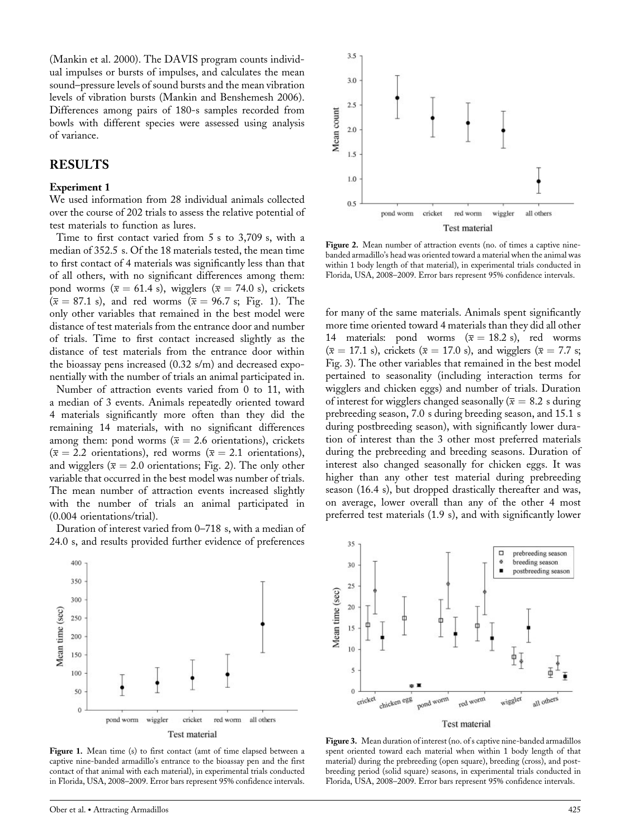(Mankin et al. 2000). The DAVIS program counts individual impulses or bursts of impulses, and calculates the mean sound–pressure levels of sound bursts and the mean vibration levels of vibration bursts (Mankin and Benshemesh 2006). Differences among pairs of 180-s samples recorded from bowls with different species were assessed using analysis of variance.

### RESULTS

#### Experiment 1

We used information from 28 individual animals collected over the course of 202 trials to assess the relative potential of test materials to function as lures.

Time to first contact varied from 5 s to 3,709 s, with a median of 352.5 s. Of the 18 materials tested, the mean time to first contact of 4 materials was significantly less than that of all others, with no significant differences among them: pond worms ( $\bar{x} = 61.4$  s), wigglers ( $\bar{x} = 74.0$  s), crickets  $(\bar{x} = 87.1 \text{ s})$ , and red worms  $(\bar{x} = 96.7 \text{ s}; \text{ Fig. 1})$ . The only other variables that remained in the best model were distance of test materials from the entrance door and number of trials. Time to first contact increased slightly as the distance of test materials from the entrance door within the bioassay pens increased (0.32 s/m) and decreased exponentially with the number of trials an animal participated in.

Number of attraction events varied from 0 to 11, with a median of 3 events. Animals repeatedly oriented toward 4 materials significantly more often than they did the remaining 14 materials, with no significant differences among them: pond worms ( $\overline{x} = 2.6$  orientations), crickets  $(\bar{x} = 2.2 \text{ orientations})$ , red worms  $(\bar{x} = 2.1 \text{ orientations})$ , and wigglers ( $\overline{x} = 2.0$  orientations; Fig. 2). The only other variable that occurred in the best model was number of trials. The mean number of attraction events increased slightly with the number of trials an animal participated in (0.004 orientations/trial).

Duration of interest varied from 0–718 s, with a median of 24.0 s, and results provided further evidence of preferences



Figure 2. Mean number of attraction events (no. of times a captive ninebanded armadillo's head was oriented toward a material when the animal was within 1 body length of that material), in experimental trials conducted in Florida, USA, 2008–2009. Error bars represent 95% confidence intervals.

for many of the same materials. Animals spent significantly more time oriented toward 4 materials than they did all other 14 materials: pond worms ( $\overline{x} = 18.2$  s), red worms  $(\bar{x} = 17.1 \text{ s})$ , crickets  $(\bar{x} = 17.0 \text{ s})$ , and wigglers  $(\bar{x} = 7.7 \text{ s})$ ; Fig. 3). The other variables that remained in the best model pertained to seasonality (including interaction terms for wigglers and chicken eggs) and number of trials. Duration of interest for wigglers changed seasonally ( $\overline{x} = 8.2$  s during prebreeding season, 7.0 s during breeding season, and 15.1 s during postbreeding season), with significantly lower duration of interest than the 3 other most preferred materials during the prebreeding and breeding seasons. Duration of interest also changed seasonally for chicken eggs. It was higher than any other test material during prebreeding season (16.4 s), but dropped drastically thereafter and was, on average, lower overall than any of the other 4 most preferred test materials (1.9 s), and with significantly lower



Figure 1. Mean time (s) to first contact (amt of time elapsed between a captive nine-banded armadillo's entrance to the bioassay pen and the first contact of that animal with each material), in experimental trials conducted in Florida, USA, 2008–2009. Error bars represent 95% confidence intervals.



Figure 3. Mean duration of interest (no. of s captive nine-banded armadillos spent oriented toward each material when within 1 body length of that material) during the prebreeding (open square), breeding (cross), and postbreeding period (solid square) seasons, in experimental trials conducted in Florida, USA, 2008–2009. Error bars represent 95% confidence intervals.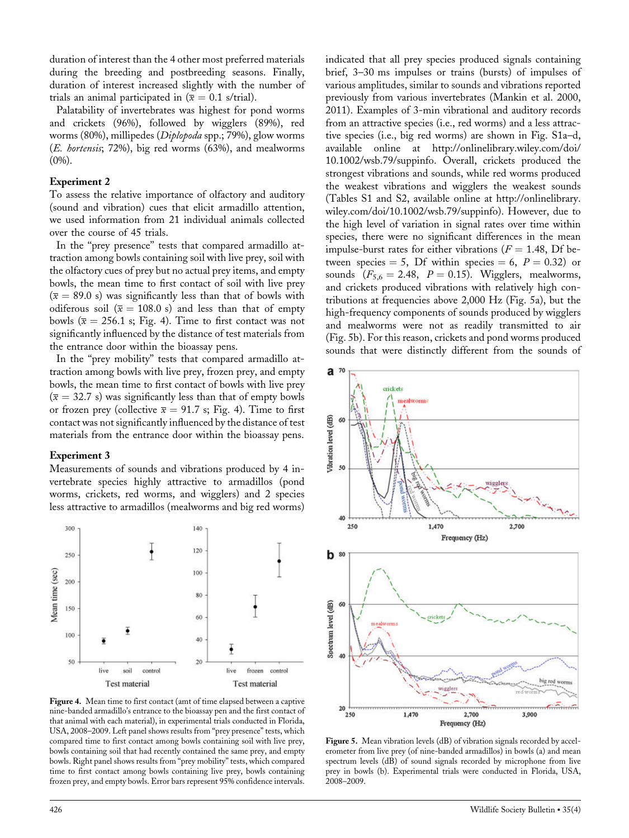duration of interest than the 4 other most preferred materials during the breeding and postbreeding seasons. Finally, duration of interest increased slightly with the number of trials an animal participated in  $(\bar{x} = 0.1 \text{ s/trial}).$ 

Palatability of invertebrates was highest for pond worms and crickets (96%), followed by wigglers (89%), red worms (80%), millipedes (Diplopoda spp.; 79%), glow worms (E. hortensis; 72%), big red worms (63%), and mealworms  $(0\%)$ .

#### Experiment 2

To assess the relative importance of olfactory and auditory (sound and vibration) cues that elicit armadillo attention, we used information from 21 individual animals collected over the course of 45 trials.

In the ''prey presence'' tests that compared armadillo attraction among bowls containing soil with live prey, soil with the olfactory cues of prey but no actual prey items, and empty bowls, the mean time to first contact of soil with live prey  $(\bar{x} = 89.0 \text{ s})$  was significantly less than that of bowls with odiferous soil ( $\bar{x} = 108.0$  s) and less than that of empty bowls ( $\bar{x} = 256.1$  s; Fig. 4). Time to first contact was not significantly influenced by the distance of test materials from the entrance door within the bioassay pens.

In the "prey mobility" tests that compared armadillo attraction among bowls with live prey, frozen prey, and empty bowls, the mean time to first contact of bowls with live prey  $(\bar{x} = 32.7 \text{ s})$  was significantly less than that of empty bowls or frozen prey (collective  $\bar{x} = 91.7$  s; Fig. 4). Time to first contact was not significantly influenced by the distance of test materials from the entrance door within the bioassay pens.

#### Experiment 3

Measurements of sounds and vibrations produced by 4 invertebrate species highly attractive to armadillos (pond worms, crickets, red worms, and wigglers) and 2 species less attractive to armadillos (mealworms and big red worms)



Figure 4. Mean time to first contact (amt of time elapsed between a captive nine-banded armadillo's entrance to the bioassay pen and the first contact of that animal with each material), in experimental trials conducted in Florida, USA, 2008–2009. Left panel shows results from ''prey presence'' tests, which compared time to first contact among bowls containing soil with live prey, bowls containing soil that had recently contained the same prey, and empty bowls. Right panel shows results from ''prey mobility'' tests, which compared time to first contact among bowls containing live prey, bowls containing frozen prey, and empty bowls. Error bars represent 95% confidence intervals.

indicated that all prey species produced signals containing brief, 3–30 ms impulses or trains (bursts) of impulses of various amplitudes, similar to sounds and vibrations reported previously from various invertebrates (Mankin et al. 2000, 2011). Examples of 3-min vibrational and auditory records from an attractive species (i.e., red worms) and a less attractive species (i.e., big red worms) are shown in Fig. S1a–d, available online at http://onlinelibrary.wiley.com/doi/ 10.1002/wsb.79/suppinfo. Overall, crickets produced the strongest vibrations and sounds, while red worms produced the weakest vibrations and wigglers the weakest sounds (Tables S1 and S2, available online at http://onlinelibrary. wiley.com/doi/10.1002/wsb.79/suppinfo). However, due to the high level of variation in signal rates over time within species, there were no significant differences in the mean impulse-burst rates for either vibrations ( $F = 1.48$ , Df between species = 5, Df within species = 6,  $P = 0.32$ ) or sounds  $(F_{5,6} = 2.48, P = 0.15)$ . Wigglers, mealworms, and crickets produced vibrations with relatively high contributions at frequencies above 2,000 Hz (Fig. 5a), but the high-frequency components of sounds produced by wigglers and mealworms were not as readily transmitted to air (Fig. 5b). For this reason, crickets and pond worms produced sounds that were distinctly different from the sounds of



Figure 5. Mean vibration levels (dB) of vibration signals recorded by accelerometer from live prey (of nine-banded armadillos) in bowls (a) and mean spectrum levels (dB) of sound signals recorded by microphone from live prey in bowls (b). Experimental trials were conducted in Florida, USA, 2008–2009.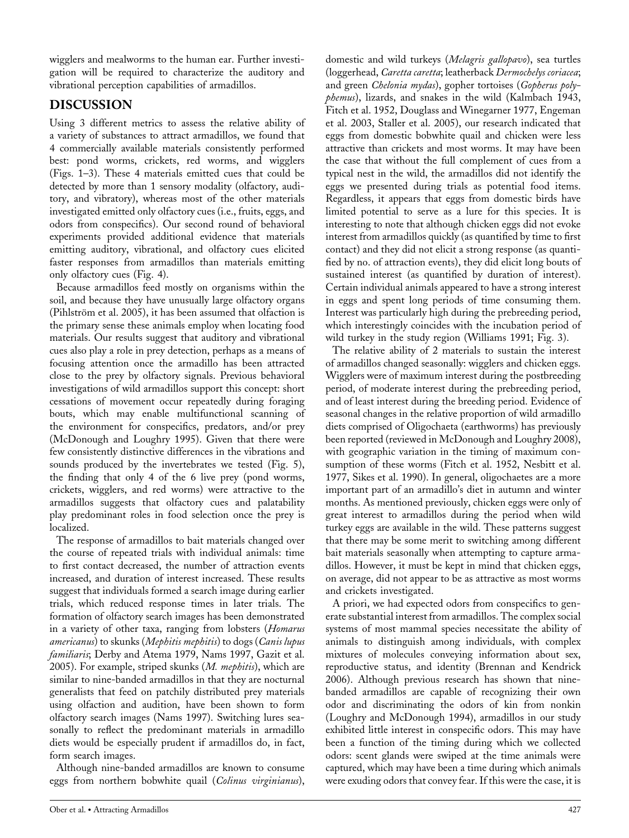wigglers and mealworms to the human ear. Further investigation will be required to characterize the auditory and vibrational perception capabilities of armadillos.

# DISCUSSION

Using 3 different metrics to assess the relative ability of a variety of substances to attract armadillos, we found that 4 commercially available materials consistently performed best: pond worms, crickets, red worms, and wigglers (Figs. 1–3). These 4 materials emitted cues that could be detected by more than 1 sensory modality (olfactory, auditory, and vibratory), whereas most of the other materials investigated emitted only olfactory cues (i.e., fruits, eggs, and odors from conspecifics). Our second round of behavioral experiments provided additional evidence that materials emitting auditory, vibrational, and olfactory cues elicited faster responses from armadillos than materials emitting only olfactory cues (Fig. 4).

Because armadillos feed mostly on organisms within the soil, and because they have unusually large olfactory organs (Pihlström et al. 2005), it has been assumed that olfaction is the primary sense these animals employ when locating food materials. Our results suggest that auditory and vibrational cues also play a role in prey detection, perhaps as a means of focusing attention once the armadillo has been attracted close to the prey by olfactory signals. Previous behavioral investigations of wild armadillos support this concept: short cessations of movement occur repeatedly during foraging bouts, which may enable multifunctional scanning of the environment for conspecifics, predators, and/or prey (McDonough and Loughry 1995). Given that there were few consistently distinctive differences in the vibrations and sounds produced by the invertebrates we tested (Fig. 5), the finding that only 4 of the 6 live prey (pond worms, crickets, wigglers, and red worms) were attractive to the armadillos suggests that olfactory cues and palatability play predominant roles in food selection once the prey is localized.

The response of armadillos to bait materials changed over the course of repeated trials with individual animals: time to first contact decreased, the number of attraction events increased, and duration of interest increased. These results suggest that individuals formed a search image during earlier trials, which reduced response times in later trials. The formation of olfactory search images has been demonstrated in a variety of other taxa, ranging from lobsters (Homarus americanus) to skunks (Mephitis mephitis) to dogs (Canis lupus familiaris; Derby and Atema 1979, Nams 1997, Gazit et al. 2005). For example, striped skunks (*M. mephitis*), which are similar to nine-banded armadillos in that they are nocturnal generalists that feed on patchily distributed prey materials using olfaction and audition, have been shown to form olfactory search images (Nams 1997). Switching lures seasonally to reflect the predominant materials in armadillo diets would be especially prudent if armadillos do, in fact, form search images.

Although nine-banded armadillos are known to consume eggs from northern bobwhite quail (Colinus virginianus), domestic and wild turkeys (Melagris gallopavo), sea turtles (loggerhead, Caretta caretta; leatherback Dermochelys coriacea; and green Chelonia mydas), gopher tortoises (Gopherus polyphemus), lizards, and snakes in the wild (Kalmbach 1943, Fitch et al. 1952, Douglass and Winegarner 1977, Engeman et al. 2003, Staller et al. 2005), our research indicated that eggs from domestic bobwhite quail and chicken were less attractive than crickets and most worms. It may have been the case that without the full complement of cues from a typical nest in the wild, the armadillos did not identify the eggs we presented during trials as potential food items. Regardless, it appears that eggs from domestic birds have limited potential to serve as a lure for this species. It is interesting to note that although chicken eggs did not evoke interest from armadillos quickly (as quantified by time to first contact) and they did not elicit a strong response (as quantified by no. of attraction events), they did elicit long bouts of sustained interest (as quantified by duration of interest). Certain individual animals appeared to have a strong interest in eggs and spent long periods of time consuming them. Interest was particularly high during the prebreeding period, which interestingly coincides with the incubation period of wild turkey in the study region (Williams 1991; Fig. 3).

The relative ability of 2 materials to sustain the interest of armadillos changed seasonally: wigglers and chicken eggs. Wigglers were of maximum interest during the postbreeding period, of moderate interest during the prebreeding period, and of least interest during the breeding period. Evidence of seasonal changes in the relative proportion of wild armadillo diets comprised of Oligochaeta (earthworms) has previously been reported (reviewed in McDonough and Loughry 2008), with geographic variation in the timing of maximum consumption of these worms (Fitch et al. 1952, Nesbitt et al. 1977, Sikes et al. 1990). In general, oligochaetes are a more important part of an armadillo's diet in autumn and winter months. As mentioned previously, chicken eggs were only of great interest to armadillos during the period when wild turkey eggs are available in the wild. These patterns suggest that there may be some merit to switching among different bait materials seasonally when attempting to capture armadillos. However, it must be kept in mind that chicken eggs, on average, did not appear to be as attractive as most worms and crickets investigated.

A priori, we had expected odors from conspecifics to generate substantial interest from armadillos. The complex social systems of most mammal species necessitate the ability of animals to distinguish among individuals, with complex mixtures of molecules conveying information about sex, reproductive status, and identity (Brennan and Kendrick 2006). Although previous research has shown that ninebanded armadillos are capable of recognizing their own odor and discriminating the odors of kin from nonkin (Loughry and McDonough 1994), armadillos in our study exhibited little interest in conspecific odors. This may have been a function of the timing during which we collected odors: scent glands were swiped at the time animals were captured, which may have been a time during which animals were exuding odors that convey fear. If this were the case, it is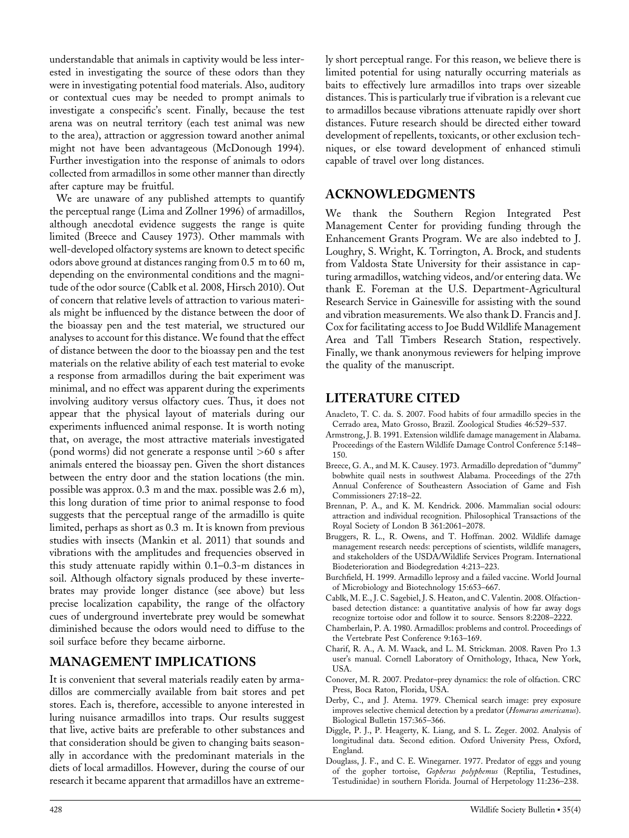understandable that animals in captivity would be less interested in investigating the source of these odors than they were in investigating potential food materials. Also, auditory or contextual cues may be needed to prompt animals to investigate a conspecific's scent. Finally, because the test arena was on neutral territory (each test animal was new to the area), attraction or aggression toward another animal might not have been advantageous (McDonough 1994). Further investigation into the response of animals to odors collected from armadillos in some other manner than directly after capture may be fruitful.

We are unaware of any published attempts to quantify the perceptual range (Lima and Zollner 1996) of armadillos, although anecdotal evidence suggests the range is quite limited (Breece and Causey 1973). Other mammals with well-developed olfactory systems are known to detect specific odors above ground at distances ranging from 0.5 m to 60 m, depending on the environmental conditions and the magnitude of the odor source (Cablk et al. 2008, Hirsch 2010). Out of concern that relative levels of attraction to various materials might be influenced by the distance between the door of the bioassay pen and the test material, we structured our analyses to account for this distance. We found that the effect of distance between the door to the bioassay pen and the test materials on the relative ability of each test material to evoke a response from armadillos during the bait experiment was minimal, and no effect was apparent during the experiments involving auditory versus olfactory cues. Thus, it does not appear that the physical layout of materials during our experiments influenced animal response. It is worth noting that, on average, the most attractive materials investigated (pond worms) did not generate a response until >60 s after animals entered the bioassay pen. Given the short distances between the entry door and the station locations (the min. possible was approx. 0.3 m and the max. possible was 2.6 m), this long duration of time prior to animal response to food suggests that the perceptual range of the armadillo is quite limited, perhaps as short as 0.3 m. It is known from previous studies with insects (Mankin et al. 2011) that sounds and vibrations with the amplitudes and frequencies observed in this study attenuate rapidly within 0.1–0.3-m distances in soil. Although olfactory signals produced by these invertebrates may provide longer distance (see above) but less precise localization capability, the range of the olfactory cues of underground invertebrate prey would be somewhat diminished because the odors would need to diffuse to the soil surface before they became airborne.

## MANAGEMENT IMPLICATIONS

It is convenient that several materials readily eaten by armadillos are commercially available from bait stores and pet stores. Each is, therefore, accessible to anyone interested in luring nuisance armadillos into traps. Our results suggest that live, active baits are preferable to other substances and that consideration should be given to changing baits seasonally in accordance with the predominant materials in the diets of local armadillos. However, during the course of our research it became apparent that armadillos have an extremely short perceptual range. For this reason, we believe there is limited potential for using naturally occurring materials as baits to effectively lure armadillos into traps over sizeable distances. This is particularly true if vibration is a relevant cue to armadillos because vibrations attenuate rapidly over short distances. Future research should be directed either toward development of repellents, toxicants, or other exclusion techniques, or else toward development of enhanced stimuli capable of travel over long distances.

### ACKNOWLEDGMENTS

We thank the Southern Region Integrated Pest Management Center for providing funding through the Enhancement Grants Program. We are also indebted to J. Loughry, S. Wright, K. Torrington, A. Brock, and students from Valdosta State University for their assistance in capturing armadillos, watching videos, and/or entering data. We thank E. Foreman at the U.S. Department-Agricultural Research Service in Gainesville for assisting with the sound and vibration measurements. We also thank D. Francis and J. Cox for facilitating access to Joe Budd Wildlife Management Area and Tall Timbers Research Station, respectively. Finally, we thank anonymous reviewers for helping improve the quality of the manuscript.

# LITERATURE CITED

- Anacleto, T. C. da. S. 2007. Food habits of four armadillo species in the Cerrado area, Mato Grosso, Brazil. Zoological Studies 46:529–537.
- Armstrong, J. B. 1991. Extension wildlife damage management in Alabama. Proceedings of the Eastern Wildlife Damage Control Conference 5:148– 150.
- Breece, G. A., and M. K. Causey. 1973. Armadillo depredation of ''dummy'' bobwhite quail nests in southwest Alabama. Proceedings of the 27th Annual Conference of Southeastern Association of Game and Fish Commissioners 27:18–22.
- Brennan, P. A., and K. M. Kendrick. 2006. Mammalian social odours: attraction and individual recognition. Philosophical Transactions of the Royal Society of London B 361:2061–2078.
- Bruggers, R. L., R. Owens, and T. Hoffman. 2002. Wildlife damage management research needs: perceptions of scientists, wildlife managers, and stakeholders of the USDA/Wildlife Services Program. International Biodeterioration and Biodegredation 4:213–223.
- Burchfield, H. 1999. Armadillo leprosy and a failed vaccine. World Journal of Microbiology and Biotechnology 15:653–667.
- Cablk, M. E., J. C. Sagebiel, J. S. Heaton, and C. Valentin. 2008. Olfactionbased detection distance: a quantitative analysis of how far away dogs recognize tortoise odor and follow it to source. Sensors 8:2208–2222.
- Chamberlain, P. A. 1980. Armadillos: problems and control. Proceedings of the Vertebrate Pest Conference 9:163–169.
- Charif, R. A., A. M. Waack, and L. M. Strickman. 2008. Raven Pro 1.3 user's manual. Cornell Laboratory of Ornithology, Ithaca, New York, USA.
- Conover, M. R. 2007. Predator–prey dynamics: the role of olfaction. CRC Press, Boca Raton, Florida, USA.
- Derby, C., and J. Atema. 1979. Chemical search image: prey exposure improves selective chemical detection by a predator (Homarus americanus). Biological Bulletin 157:365–366.
- Diggle, P. J., P. Heagerty, K. Liang, and S. L. Zeger. 2002. Analysis of longitudinal data. Second edition. Oxford University Press, Oxford, England.
- Douglass, J. F., and C. E. Winegarner. 1977. Predator of eggs and young of the gopher tortoise, Gopherus polyphemus (Reptilia, Testudines, Testudinidae) in southern Florida. Journal of Herpetology 11:236–238.